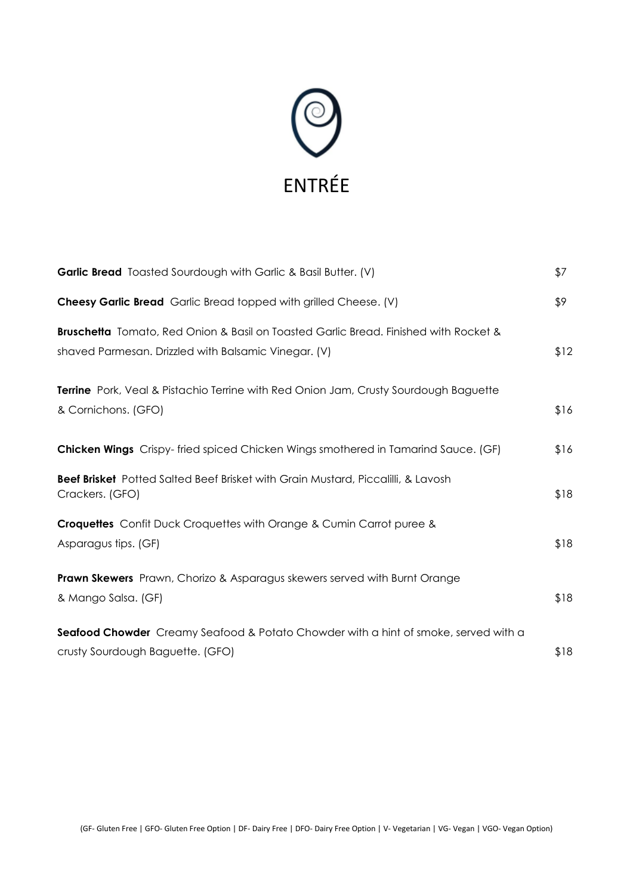

| <b>Garlic Bread</b> Toasted Sourdough with Garlic & Basil Butter. (V)                                                                        | \$7  |
|----------------------------------------------------------------------------------------------------------------------------------------------|------|
| <b>Cheesy Garlic Bread</b> Garlic Bread topped with grilled Cheese. (V)                                                                      | \$9  |
| Bruschetta Tomato, Red Onion & Basil on Toasted Garlic Bread. Finished with Rocket &<br>shaved Parmesan. Drizzled with Balsamic Vinegar. (V) | \$12 |
| <b>Terrine</b> Pork, Veal & Pistachio Terrine with Red Onion Jam, Crusty Sourdough Baguette<br>& Cornichons. (GFO)                           | \$16 |
| Chicken Wings Crispy-fried spiced Chicken Wings smothered in Tamarind Sauce. (GF)                                                            | \$16 |
| <b>Beef Brisket</b> Potted Salted Beef Brisket with Grain Mustard, Piccalilli, & Lavosh<br>Crackers. (GFO)                                   | \$18 |
| <b>Croquettes</b> Confit Duck Croquettes with Orange & Cumin Carrot puree &<br>Asparagus tips. (GF)                                          | \$18 |
| <b>Prawn Skewers</b> Prawn, Chorizo & Asparagus skewers served with Burnt Orange<br>& Mango Salsa. (GF)                                      | \$18 |
| <b>Seafood Chowder</b> Creamy Seafood & Potato Chowder with a hint of smoke, served with a<br>crusty Sourdough Baguette. (GFO)               | \$18 |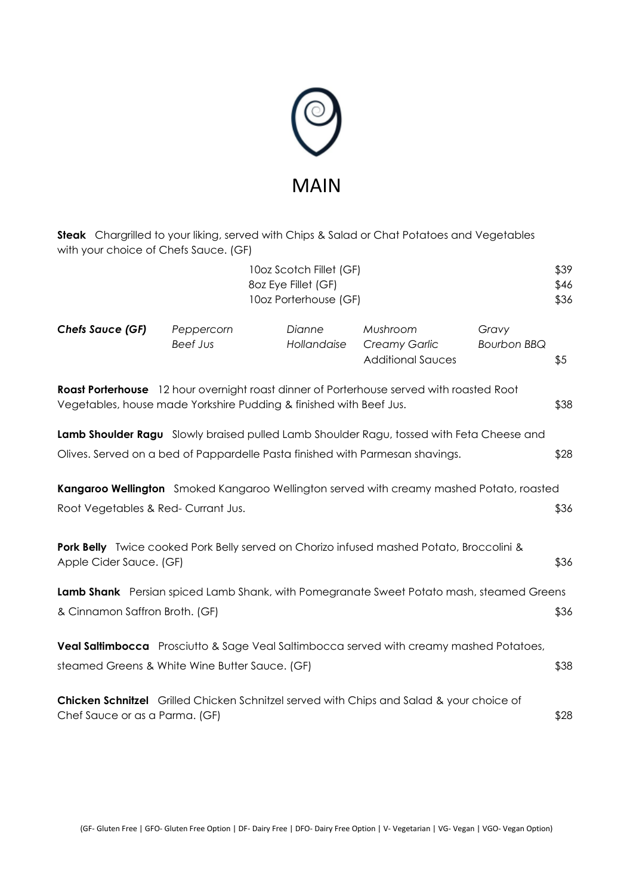

**Steak** Chargrilled to your liking, served with Chips & Salad or Chat Potatoes and Vegetables with your choice of Chefs Sauce. (GF)

|                                                                                                                                       |                                                                                                                                                                           | 10oz Scotch Fillet (GF)<br>8oz Eye Fillet (GF)<br>10oz Porterhouse (GF) |                                                              |                             | \$39<br>\$46<br>\$36 |  |
|---------------------------------------------------------------------------------------------------------------------------------------|---------------------------------------------------------------------------------------------------------------------------------------------------------------------------|-------------------------------------------------------------------------|--------------------------------------------------------------|-----------------------------|----------------------|--|
| <b>Chefs Sauce (GF)</b>                                                                                                               | Peppercorn<br><b>Beef Jus</b>                                                                                                                                             | Dianne<br>Hollandaise                                                   | Mushroom<br><b>Creamy Garlic</b><br><b>Additional Sauces</b> | Gravy<br><b>Bourbon BBQ</b> | \$5                  |  |
|                                                                                                                                       | Roast Porterhouse 12 hour overnight roast dinner of Porterhouse served with roasted Root<br>Vegetables, house made Yorkshire Pudding & finished with Beef Jus.            |                                                                         |                                                              |                             | \$38                 |  |
|                                                                                                                                       | Lamb Shoulder Ragu Slowly braised pulled Lamb Shoulder Ragu, tossed with Feta Cheese and<br>Olives. Served on a bed of Pappardelle Pasta finished with Parmesan shavings. |                                                                         |                                                              |                             | \$28                 |  |
| <b>Kangaroo Wellington</b> Smoked Kangaroo Wellington served with creamy mashed Potato, roasted<br>Root Vegetables & Red-Currant Jus. |                                                                                                                                                                           |                                                                         |                                                              |                             |                      |  |
| <b>Pork Belly</b> Twice cooked Pork Belly served on Chorizo infused mashed Potato, Broccolini &<br>Apple Cider Sauce. (GF)            |                                                                                                                                                                           |                                                                         |                                                              |                             |                      |  |
| Lamb Shank Persian spiced Lamb Shank, with Pomegranate Sweet Potato mash, steamed Greens<br>& Cinnamon Saffron Broth. (GF)            |                                                                                                                                                                           |                                                                         |                                                              |                             |                      |  |
|                                                                                                                                       | Veal Saltimbocca Prosciutto & Sage Veal Saltimbocca served with creamy mashed Potatoes,<br>steamed Greens & White Wine Butter Sauce. (GF)                                 |                                                                         |                                                              |                             | \$38                 |  |
| Chef Sauce or as a Parma. (GF)                                                                                                        | Chicken Schnitzel Grilled Chicken Schnitzel served with Chips and Salad & your choice of                                                                                  |                                                                         |                                                              |                             | \$28                 |  |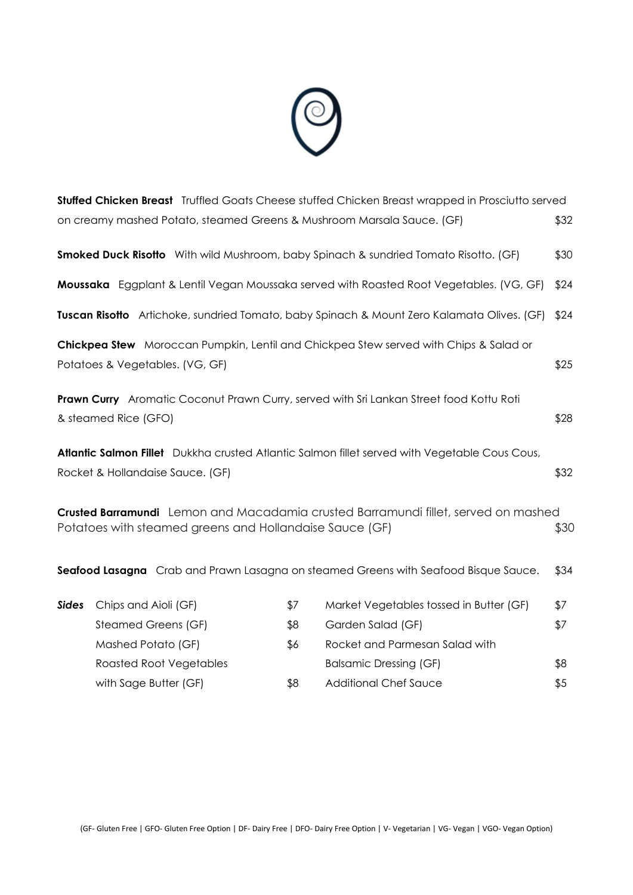

|                                  |     |                                         | \$32                                                                                                                                                                                                                                                                                                                                                                                                                                                                                                                                                                                                                                                                                                                                                                                                                                                                                                                                                                                                   |
|----------------------------------|-----|-----------------------------------------|--------------------------------------------------------------------------------------------------------------------------------------------------------------------------------------------------------------------------------------------------------------------------------------------------------------------------------------------------------------------------------------------------------------------------------------------------------------------------------------------------------------------------------------------------------------------------------------------------------------------------------------------------------------------------------------------------------------------------------------------------------------------------------------------------------------------------------------------------------------------------------------------------------------------------------------------------------------------------------------------------------|
|                                  |     |                                         | \$30                                                                                                                                                                                                                                                                                                                                                                                                                                                                                                                                                                                                                                                                                                                                                                                                                                                                                                                                                                                                   |
|                                  |     |                                         | \$24                                                                                                                                                                                                                                                                                                                                                                                                                                                                                                                                                                                                                                                                                                                                                                                                                                                                                                                                                                                                   |
|                                  |     |                                         | \$24                                                                                                                                                                                                                                                                                                                                                                                                                                                                                                                                                                                                                                                                                                                                                                                                                                                                                                                                                                                                   |
| Potatoes & Vegetables. (VG, GF)  |     |                                         | \$25                                                                                                                                                                                                                                                                                                                                                                                                                                                                                                                                                                                                                                                                                                                                                                                                                                                                                                                                                                                                   |
| & steamed Rice (GFO)             |     |                                         | \$28                                                                                                                                                                                                                                                                                                                                                                                                                                                                                                                                                                                                                                                                                                                                                                                                                                                                                                                                                                                                   |
| Rocket & Hollandaise Sauce. (GF) |     |                                         | \$32                                                                                                                                                                                                                                                                                                                                                                                                                                                                                                                                                                                                                                                                                                                                                                                                                                                                                                                                                                                                   |
|                                  |     |                                         | \$30                                                                                                                                                                                                                                                                                                                                                                                                                                                                                                                                                                                                                                                                                                                                                                                                                                                                                                                                                                                                   |
|                                  |     |                                         | \$34                                                                                                                                                                                                                                                                                                                                                                                                                                                                                                                                                                                                                                                                                                                                                                                                                                                                                                                                                                                                   |
| Chips and Aioli (GF)             | \$7 | Market Vegetables tossed in Butter (GF) | \$7                                                                                                                                                                                                                                                                                                                                                                                                                                                                                                                                                                                                                                                                                                                                                                                                                                                                                                                                                                                                    |
| Steamed Greens (GF)              | \$8 | Garden Salad (GF)                       | \$7                                                                                                                                                                                                                                                                                                                                                                                                                                                                                                                                                                                                                                                                                                                                                                                                                                                                                                                                                                                                    |
|                                  | \$6 |                                         |                                                                                                                                                                                                                                                                                                                                                                                                                                                                                                                                                                                                                                                                                                                                                                                                                                                                                                                                                                                                        |
| Mashed Potato (GF)               |     | Rocket and Parmesan Salad with          |                                                                                                                                                                                                                                                                                                                                                                                                                                                                                                                                                                                                                                                                                                                                                                                                                                                                                                                                                                                                        |
| <b>Roasted Root Vegetables</b>   |     | <b>Balsamic Dressing (GF)</b>           | \$8                                                                                                                                                                                                                                                                                                                                                                                                                                                                                                                                                                                                                                                                                                                                                                                                                                                                                                                                                                                                    |
|                                  |     |                                         | <b>Stuffed Chicken Breast</b> Truffled Goats Cheese stuffed Chicken Breast wrapped in Prosciutto served<br>on creamy mashed Potato, steamed Greens & Mushroom Marsala Sauce. (GF)<br><b>Smoked Duck Risotto</b> With wild Mushroom, baby Spinach & sundried Tomato Risotto. (GF)<br>Moussaka Eggplant & Lentil Vegan Moussaka served with Roasted Root Vegetables. (VG, GF)<br>Tuscan Risotto Artichoke, sundried Tomato, baby Spinach & Mount Zero Kalamata Olives. (GF)<br>Chickpea Stew Moroccan Pumpkin, Lentil and Chickpea Stew served with Chips & Salad or<br>Prawn Curry Aromatic Coconut Prawn Curry, served with Sri Lankan Street food Kottu Roti<br>Atlantic Salmon Fillet Dukkha crusted Atlantic Salmon fillet served with Vegetable Cous Cous,<br>Crusted Barramundi Lemon and Macadamia crusted Barramundi fillet, served on mashed<br>Potatoes with steamed greens and Hollandaise Sauce (GF)<br>Seafood Lasagna Crab and Prawn Lasagna on steamed Greens with Seafood Bisque Sauce. |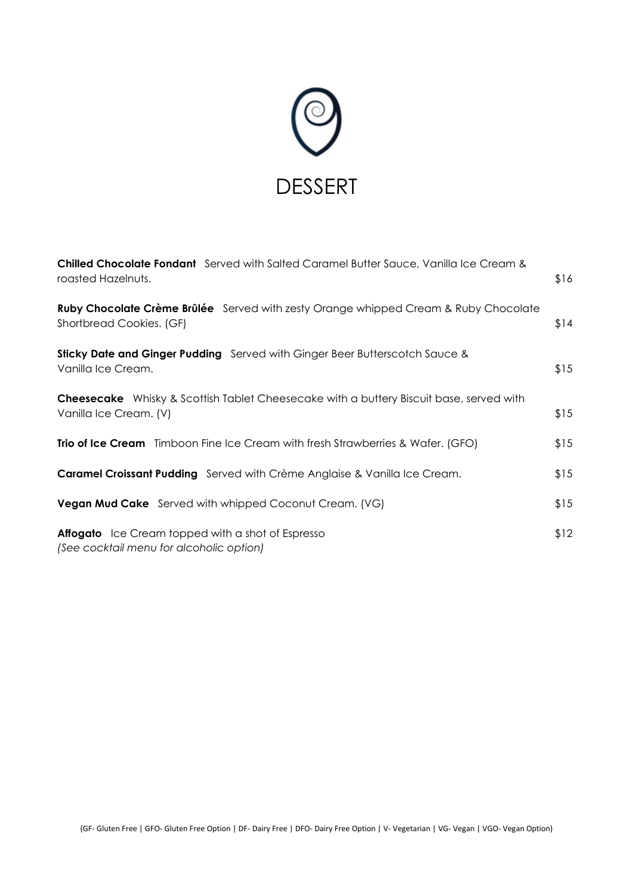

| Chilled Chocolate Fondant Served with Salted Caramel Butter Sauce, Vanilla Ice Cream &<br>roasted Hazelnuts.             | \$16 |
|--------------------------------------------------------------------------------------------------------------------------|------|
| Ruby Chocolate Crème Brûlée Served with zesty Orange whipped Cream & Ruby Chocolate<br>Shortbread Cookies. (GF)          | \$14 |
| <b>Sticky Date and Ginger Pudding</b> Served with Ginger Beer Butterscotch Sauce &<br>Vanilla Ice Cream.                 | \$15 |
| <b>Cheesecake</b> Whisky & Scottish Tablet Cheesecake with a buttery Biscuit base, served with<br>Vanilla Ice Cream. (V) | \$15 |
| <b>Trio of Ice Cream</b> Timboon Fine Ice Cream with fresh Strawberries & Wafer. (GFO)                                   | \$15 |
| <b>Caramel Croissant Pudding</b> Served with Crème Anglaise & Vanilla Ice Cream.                                         | \$15 |
| <b>Vegan Mud Cake</b> Served with whipped Coconut Cream. (VG)                                                            | \$15 |
| <b>Affogato</b> Ice Cream topped with a shot of Espresso<br>(See cocktail menu for alcoholic option)                     | \$12 |